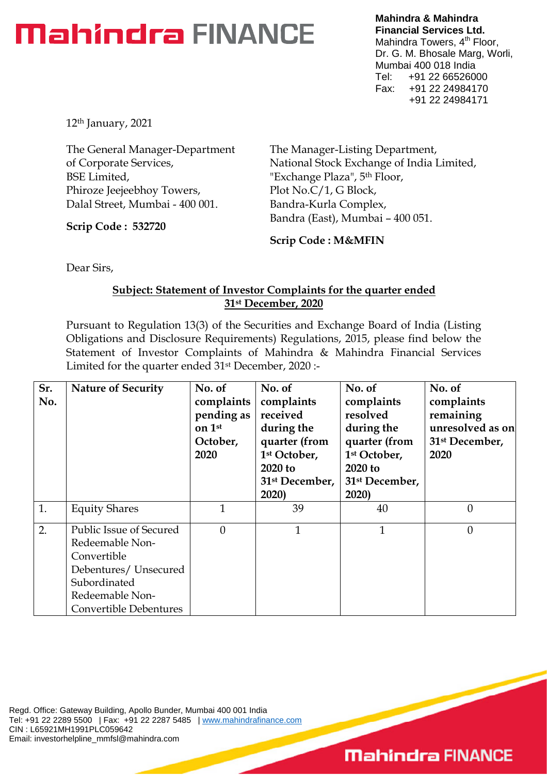## **Mahindra FINANCE**

**Mahindra & Mahindra Financial Services Ltd.** Mahindra Towers, 4<sup>th</sup> Floor, Dr. G. M. Bhosale Marg, Worli, Mumbai 400 018 India Tel: +91 22 66526000 Fax: +91 22 24984170 +91 22 24984171

12th January, 2021

The General Manager-Department of Corporate Services, BSE Limited, Phiroze Jeejeebhoy Towers, Dalal Street, Mumbai - 400 001.

**Scrip Code : 532720**

The Manager-Listing Department, National Stock Exchange of India Limited, "Exchange Plaza", 5<sup>th</sup> Floor, Plot No.C/1, G Block, Bandra-Kurla Complex, Bandra (East), Mumbai – 400 051.

**Scrip Code : M&MFIN**

Dear Sirs,

## **Subject: Statement of Investor Complaints for the quarter ended 31st December, 2020**

Pursuant to Regulation 13(3) of the Securities and Exchange Board of India (Listing Obligations and Disclosure Requirements) Regulations, 2015, please find below the Statement of Investor Complaints of Mahindra & Mahindra Financial Services Limited for the quarter ended 31st December, 2020 :-

| Sr.<br>No. | <b>Nature of Security</b>                                                                                                                       | No. of<br>complaints<br>pending as<br>on 1st<br>October,<br>2020 | No. of<br>complaints<br>received<br>during the<br>quarter (from<br>1st October,<br>2020 to<br>31 <sup>st</sup> December,<br>2020) | No. of<br>complaints<br>resolved<br>during the<br>quarter (from<br>1 <sup>st</sup> October,<br>2020 to<br>31 <sup>st</sup> December,<br>2020) | No. of<br>complaints<br>remaining<br>unresolved as on<br>31 <sup>st</sup> December,<br>2020 |
|------------|-------------------------------------------------------------------------------------------------------------------------------------------------|------------------------------------------------------------------|-----------------------------------------------------------------------------------------------------------------------------------|-----------------------------------------------------------------------------------------------------------------------------------------------|---------------------------------------------------------------------------------------------|
| 1.         | <b>Equity Shares</b>                                                                                                                            | 1                                                                | 39                                                                                                                                | 40                                                                                                                                            | $\overline{0}$                                                                              |
| 2.         | Public Issue of Secured<br>Redeemable Non-<br>Convertible<br>Debentures/ Unsecured<br>Subordinated<br>Redeemable Non-<br>Convertible Debentures | $\theta$                                                         | $\mathbf{1}$                                                                                                                      | $\mathbf{1}$                                                                                                                                  | $\theta$                                                                                    |

Regd. Office: Gateway Building, Apollo Bunder, Mumbai 400 001 India Tel: +91 22 2289 5500 | Fax: +91 22 2287 5485 | www.mahindrafinance.com CIN : L65921MH1991PLC059642 Email: investorhelpline\_mmfsl@mahindra.com

## **Mahindra FINANCE**